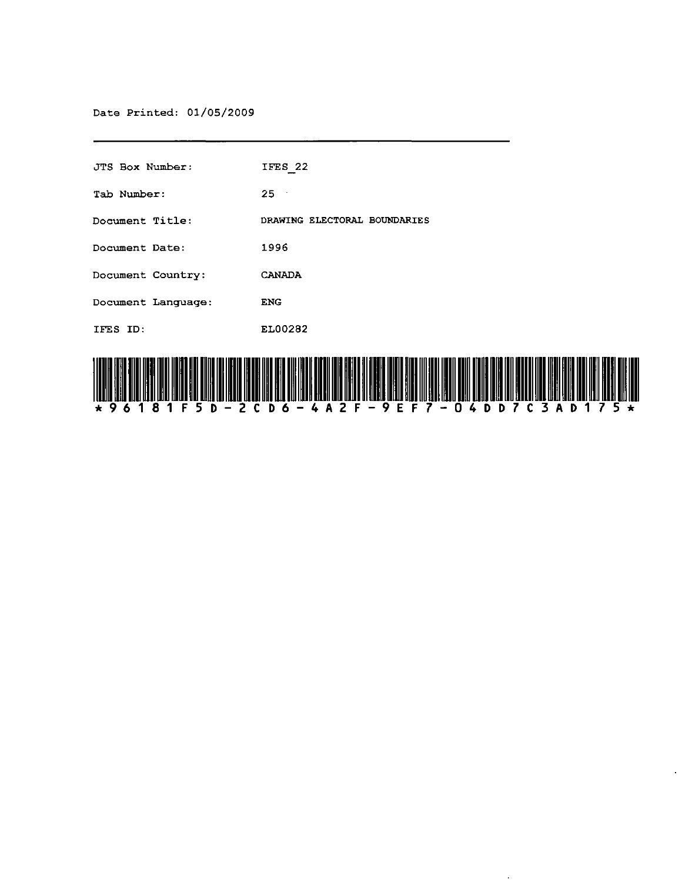Date Printed: 01/05/2009

| JTS Box Number:    | IFES 22                      |
|--------------------|------------------------------|
| Tab Number:        | $25 -$                       |
| Document Title:    | DRAWING ELECTORAL BOUNDARIES |
| Document Date:     | 1996                         |
| Document Country:  | <b>CANADA</b>                |
| Document Language: | <b>ENG</b>                   |
| IFES ID:           | EL00282                      |
|                    |                              |

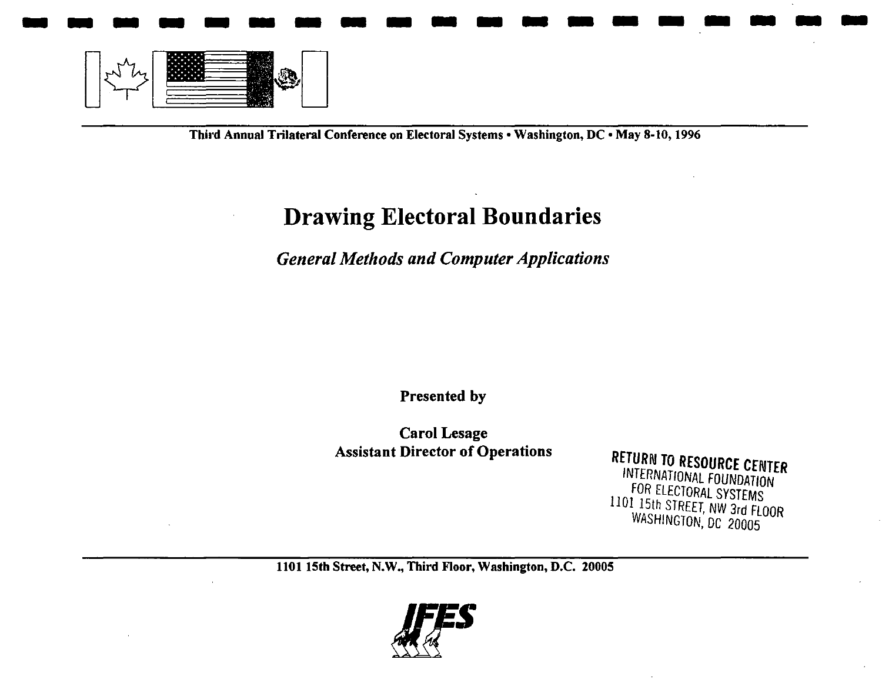

Third Annual Trilateral Conference on Electoral Systems • Washington, DC · May 8-10, 1996

#### **Drawing Electoral Boundaries**

*General Methods and Computer Applications* 

Presented by

Carol Lesage

Assistant Director of Operations RETURN TO RESOURCE CENTER INTERNATIONAL FOUNDATION FOR ElECTORAL SYSTEMS 1101 15th STREET, NW 3rd FLOOR WASHiNGTON, DC 20005

1101 15th Street, N.W., Third Floor, Washington, D.C. 20005

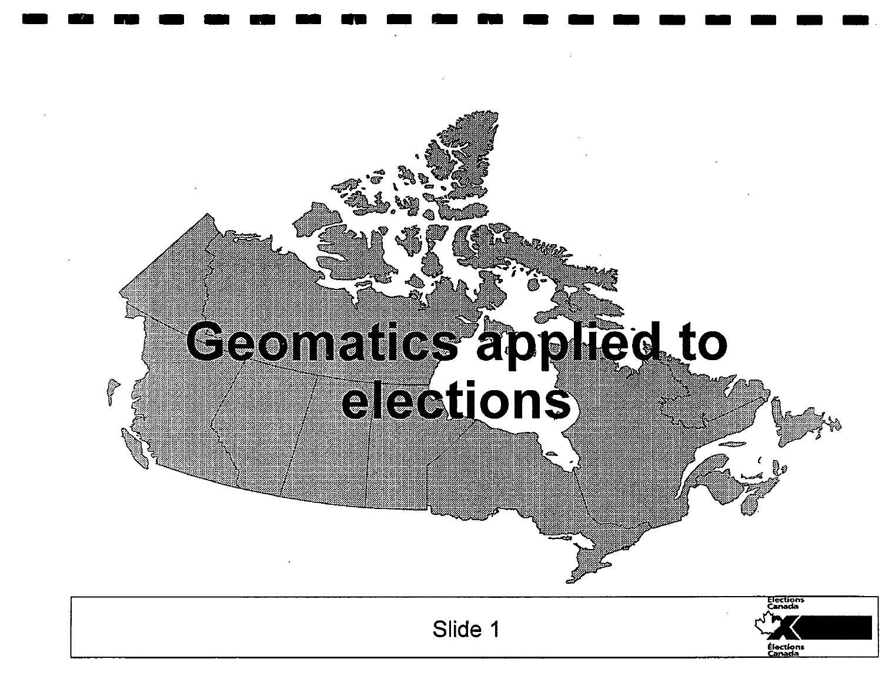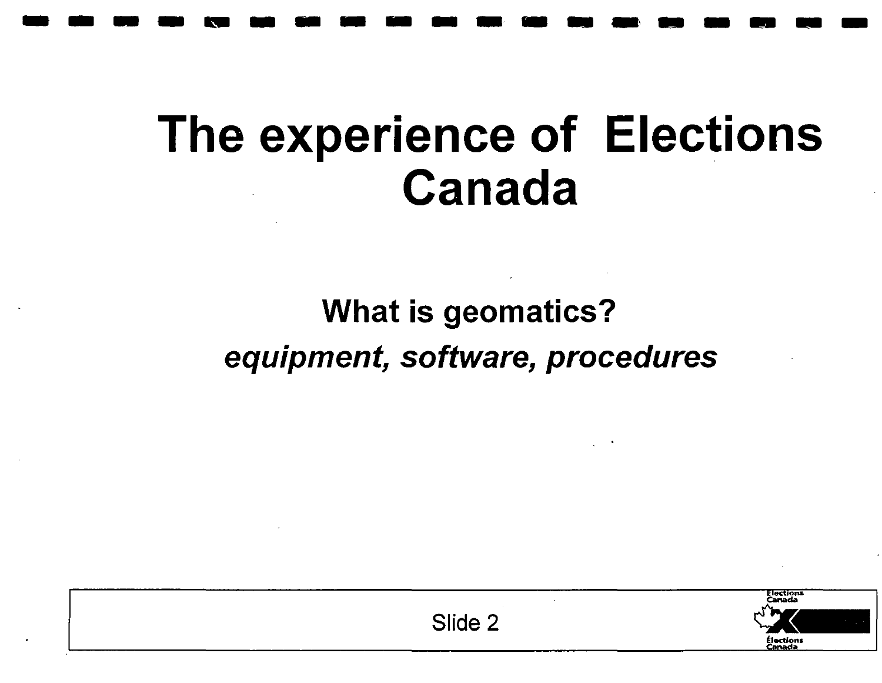## **The experience of Elections Canada**

**-------------------**

#### What is geomatics? equipment, software, procedures

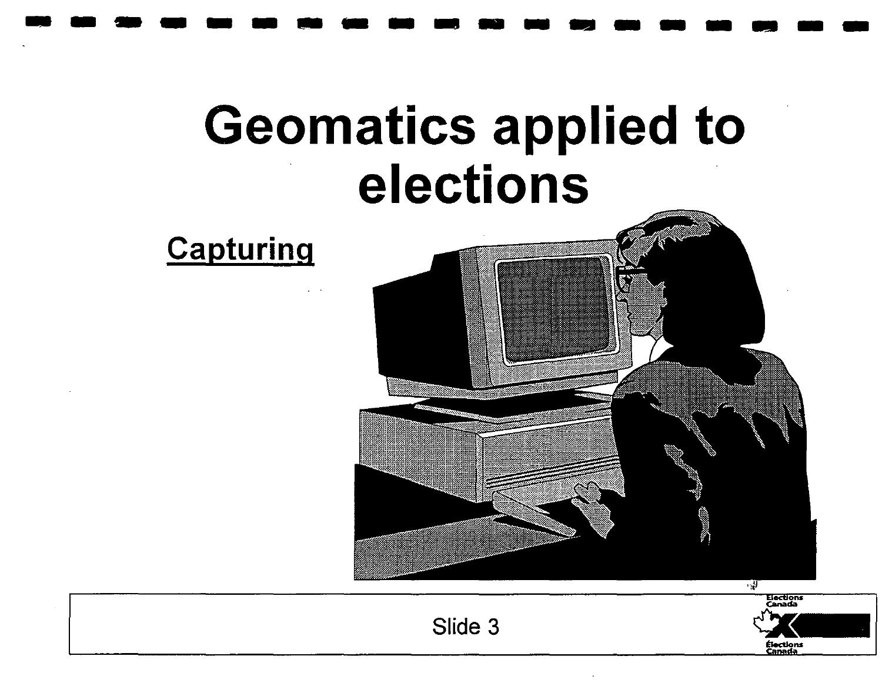

**-------------------**



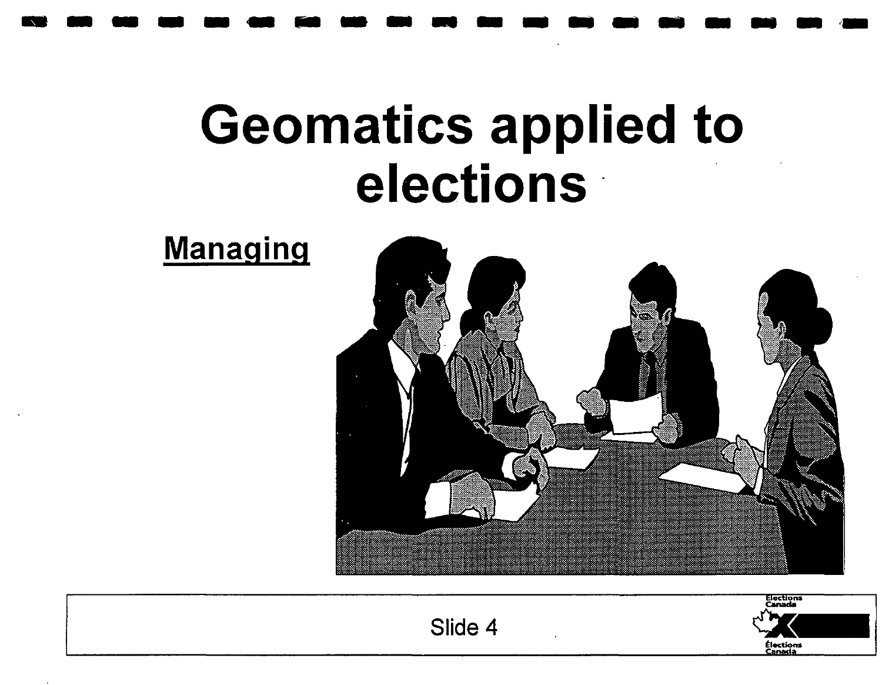**----- ... -----------.-**

Managing

## **Geomatics applied to elections'**



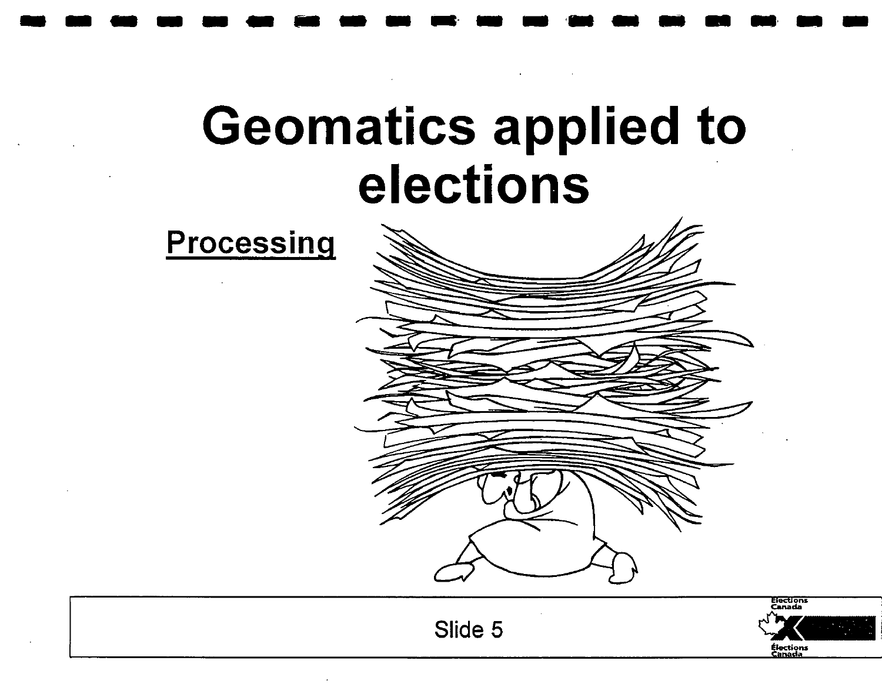## Geomatics applied to elections

----------.--.-----.--







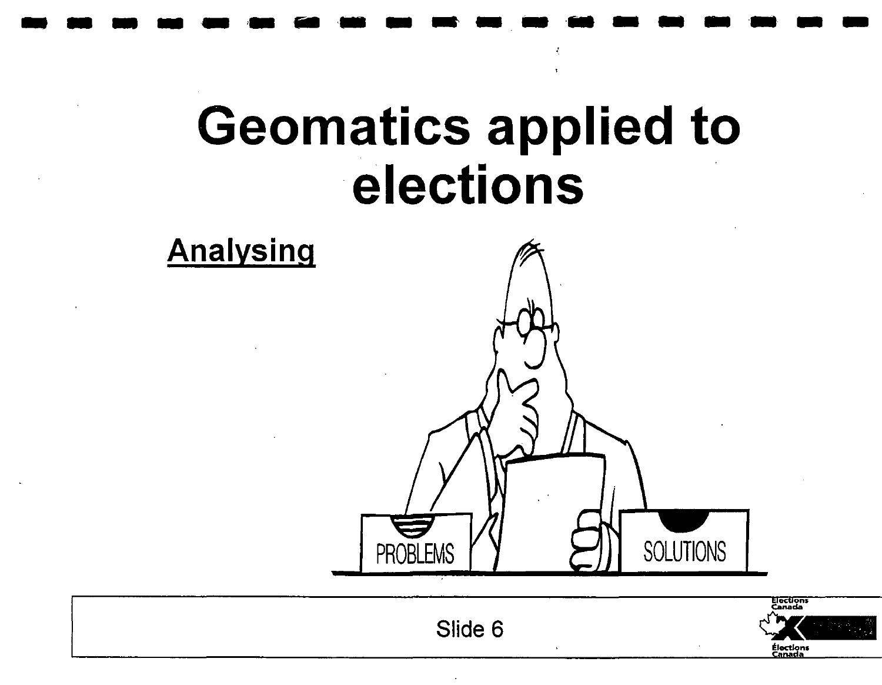## **Geomatics applied to** elections

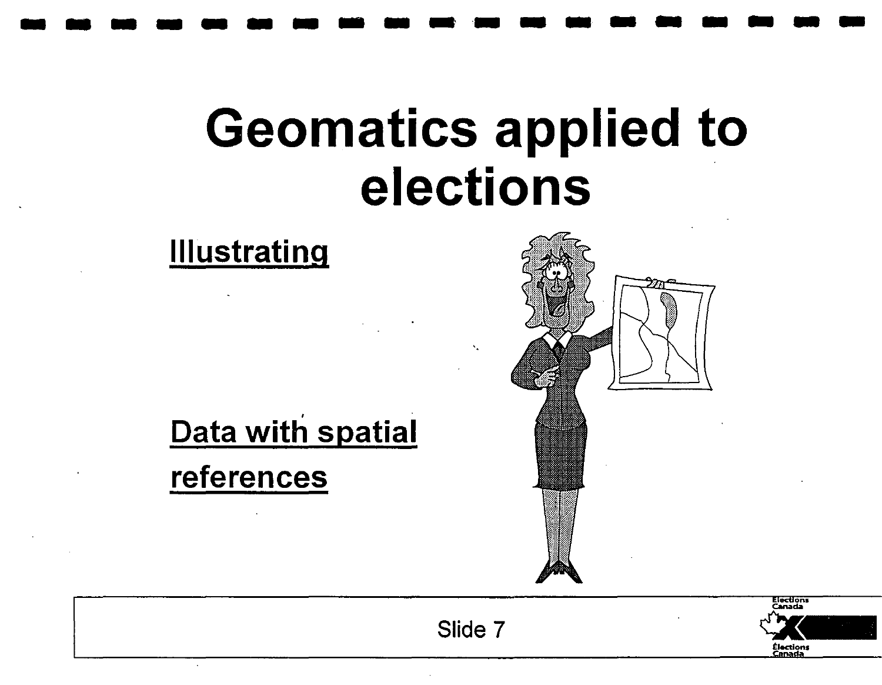## **Geomatics applied to elections**

**-------------------**



**Illustrating** 





Slide 7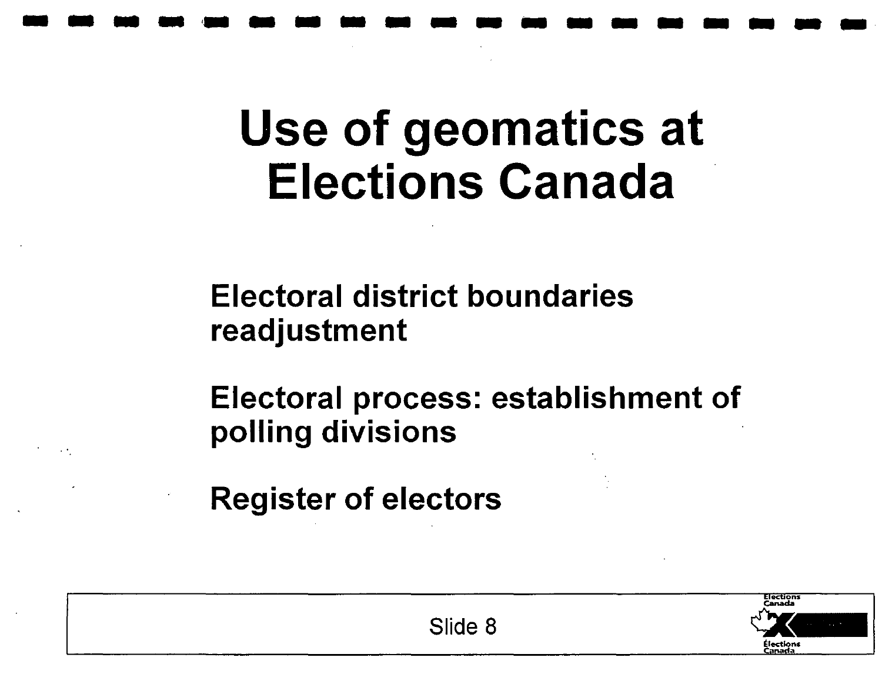## Use of geomatics at Elections Canada

**-------------------**

Electoral district boundaries readjustment

Electoral process: establishment of polling divisions

Register of electors



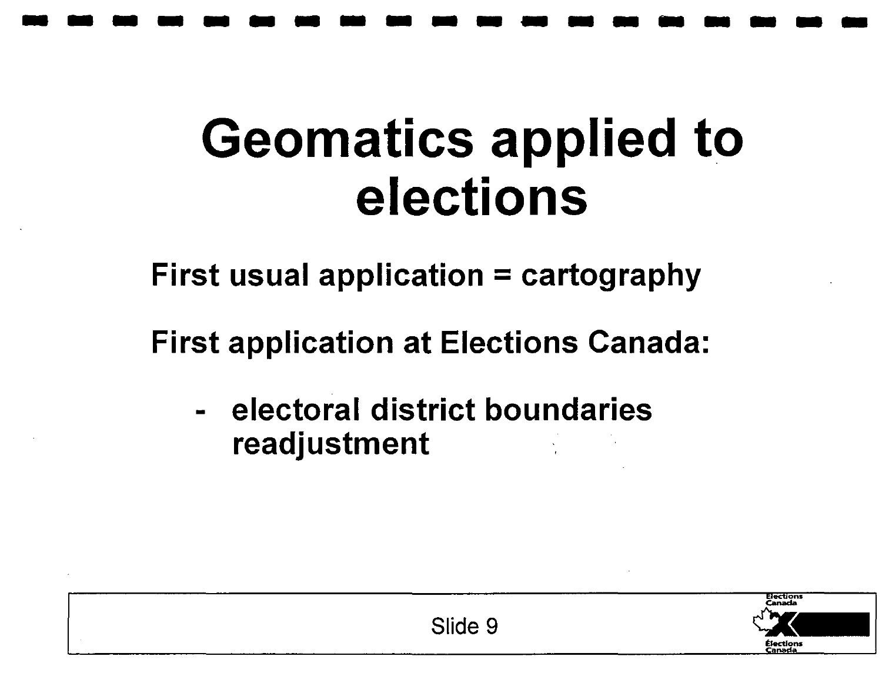# **Geomatics applied to elections**

**-------------------**

First usual application  $=$  cartography

First application at Elections Canada:

electoral district boundaries readjustment

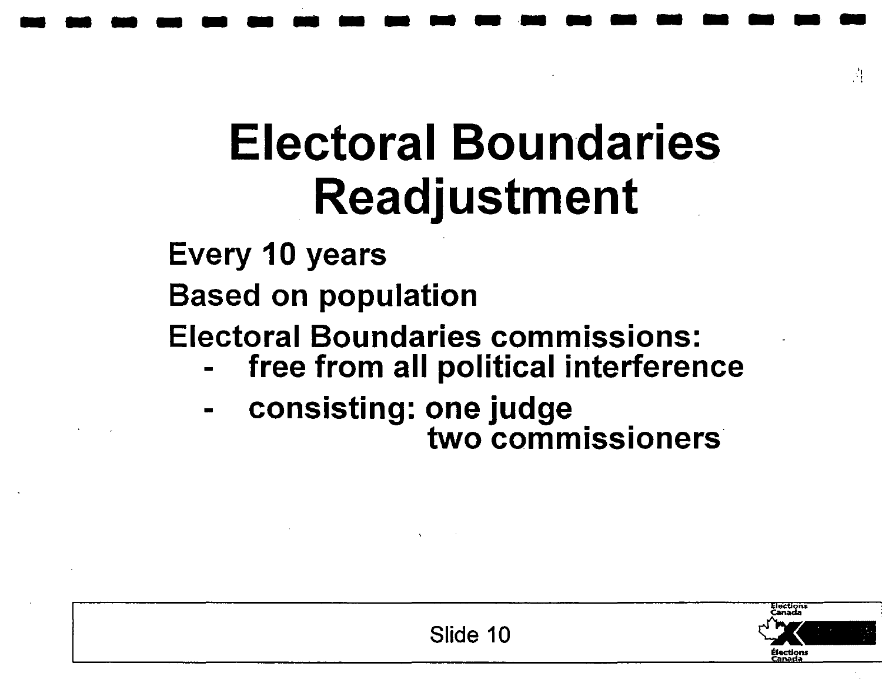## **Electoral Boundaries Readjustment**

**-------------------**

**Every 10 years** 

**Based on population** 

**Electoral Boundaries commissions: - free from all political interference** 

- 
- **- consisting: one judge two commissioners**



" ,'I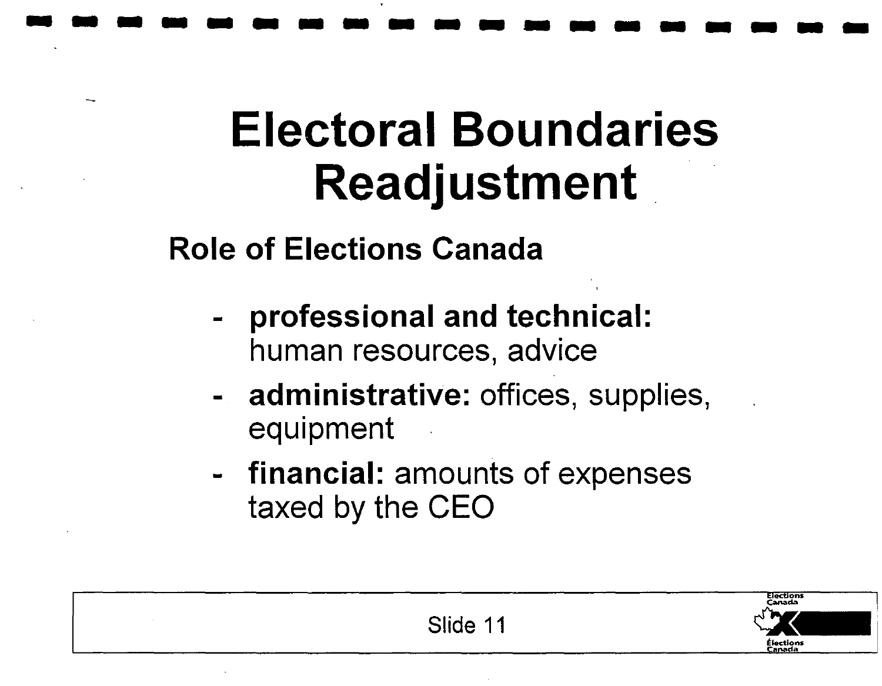## **Electoral Boundaries Readjustment.**

**-------------------**

**Role of Elections Canada** 

- **- professional and technical:**  human resources, advice
- **- administrative:** offices, supplies, equipment
- **- financial:** amounts of expenses taxed by the CEO

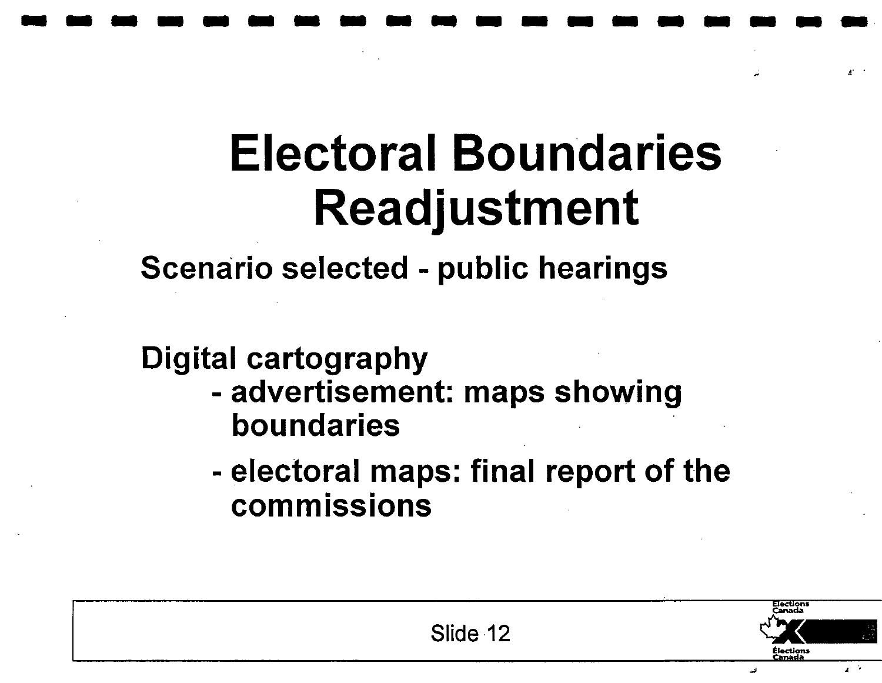## **Electoral Boundaries Readjustment**

**-------------------**

**Scenario selected - public hearings** 

#### **Digital cartography**

- **- advertisement: maps showing boundaries** .
- **- electoral maps: final report of the**  • • **commissions**



 $\mathbf{r}$ , ...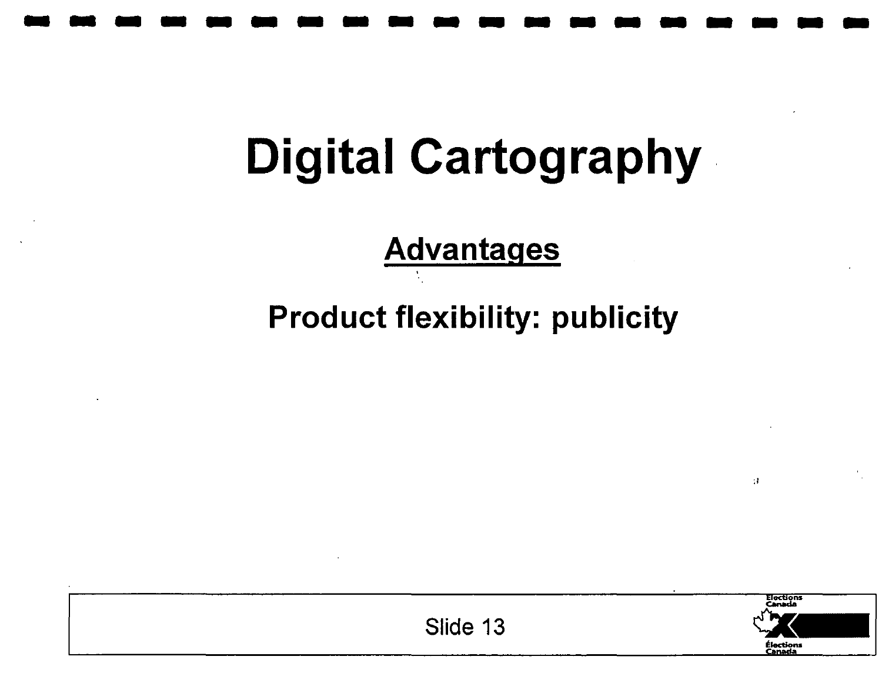# **-------------------**

## **Digital Cartography·**

**Advantages** 

**Product flexibility: publicity** 



 $\mathbf{H}$ 

Slide 13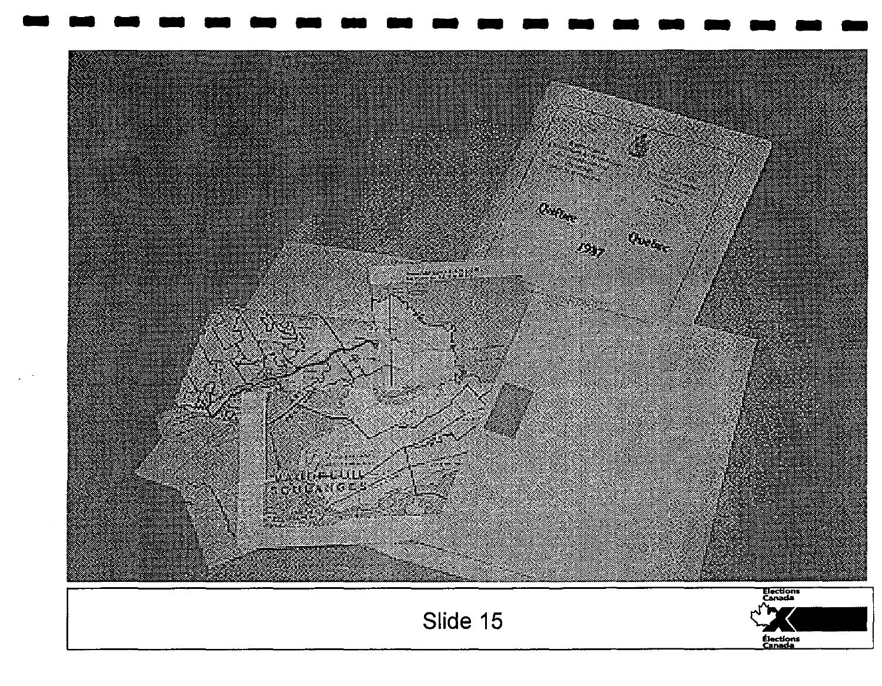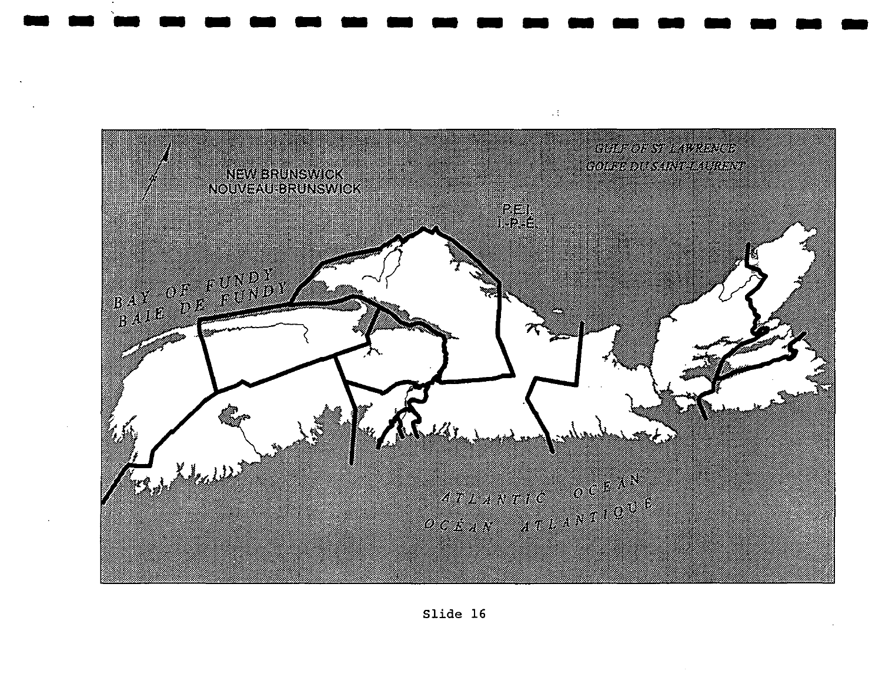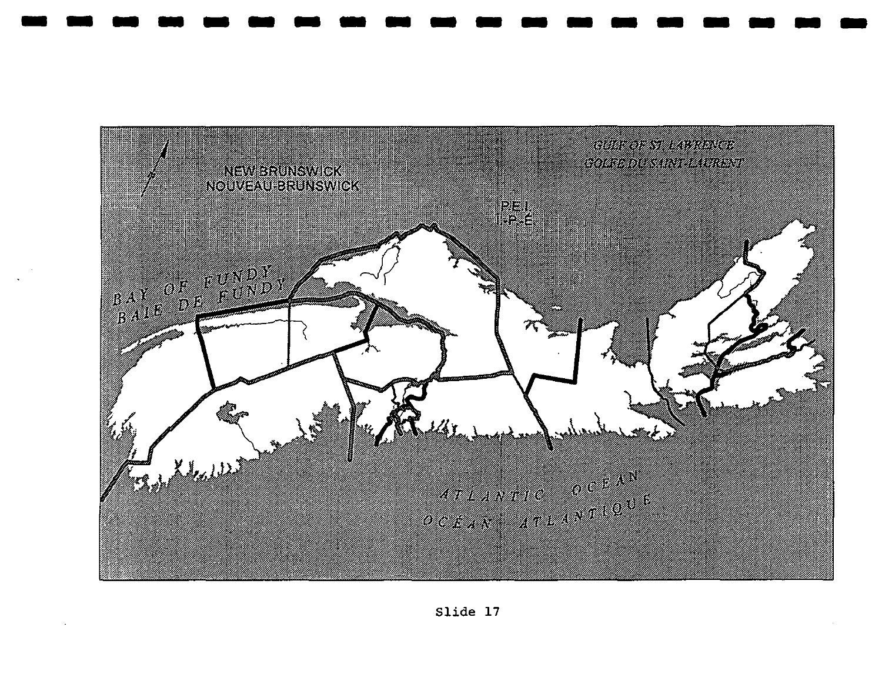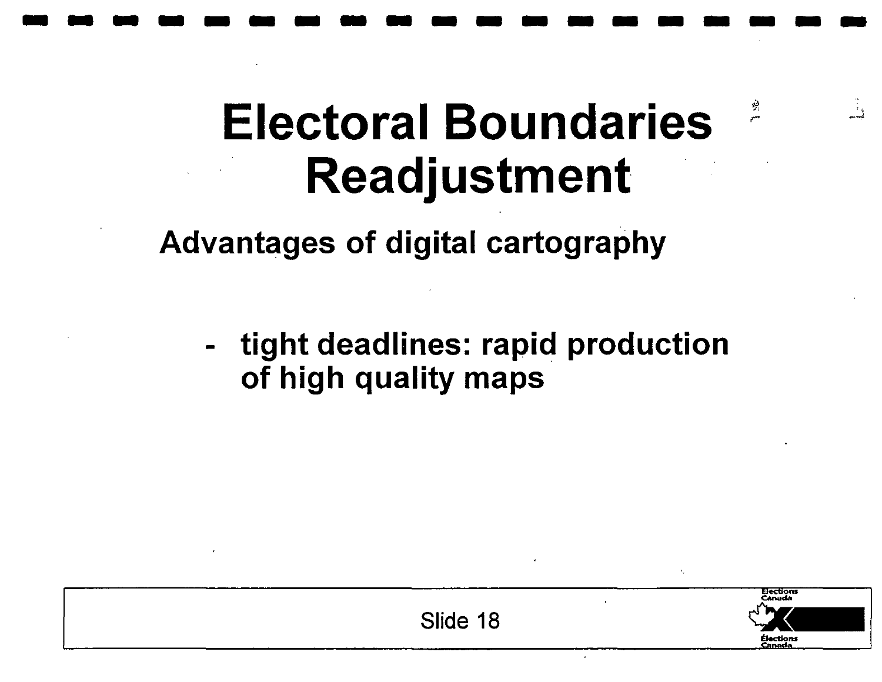## **Electoral Boundaries** <sup>~</sup> **Readjustment**

**-------------------**

Advantages of digital cartography

tight deadlines: rapid production of high quality maps



 $\rightarrow$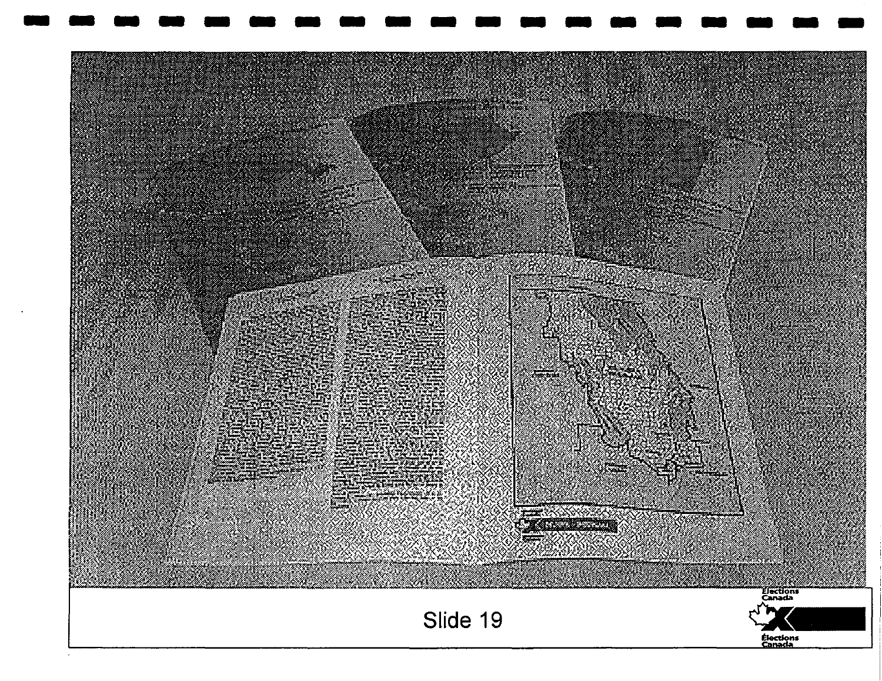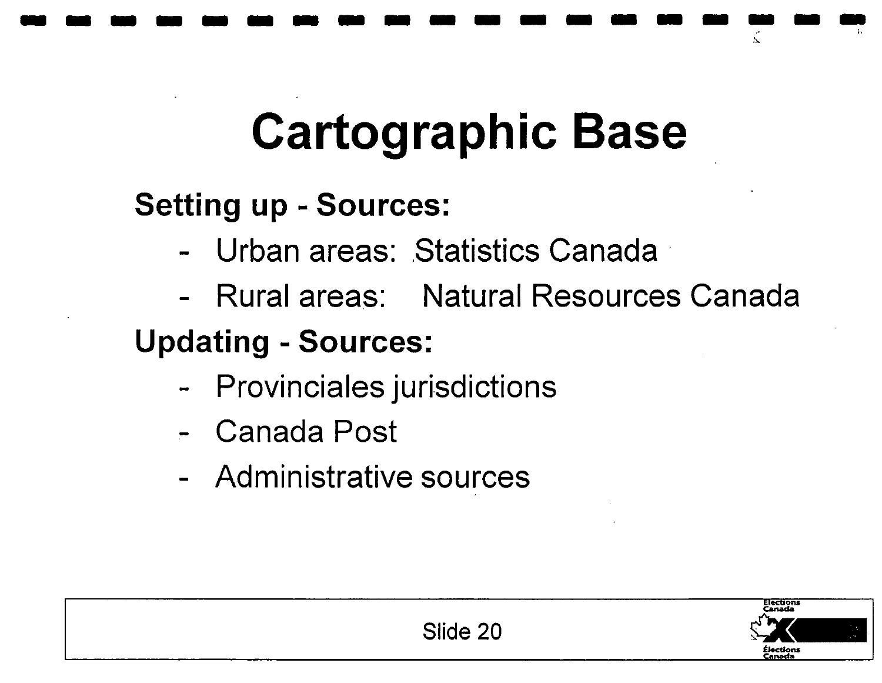# **Cartographic Base**

**-------------------** .....

#### **Setting up - Sources:**

- Urban areas: Statistics Canada
- Rural areas: Natural Resources Canada

#### **Updating - Sources:**

- Provinciales jurisdictions
- Canada Post
- Administrative sources

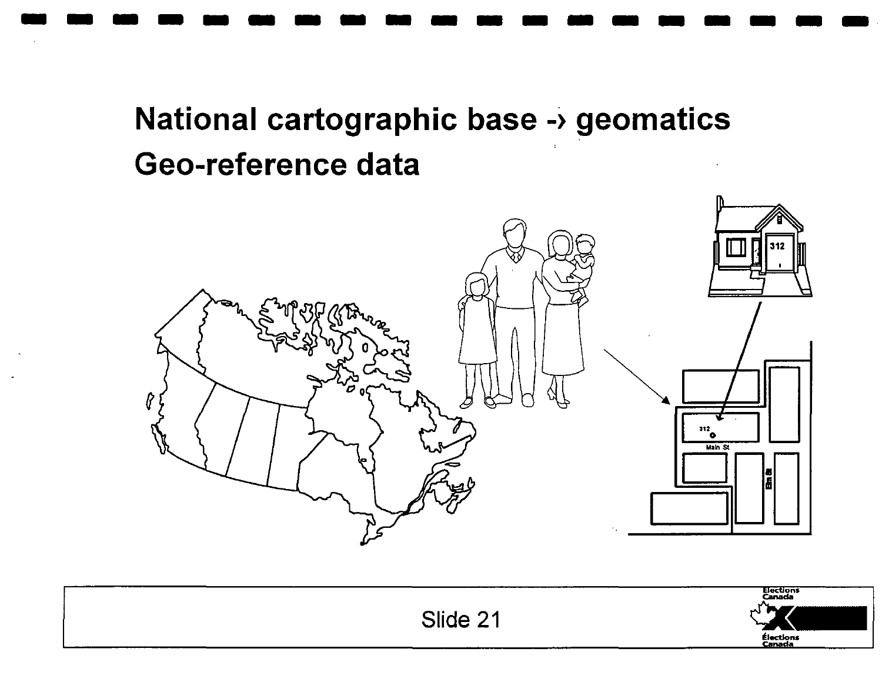#### National cartographic base -> geomatics Geo-reference data



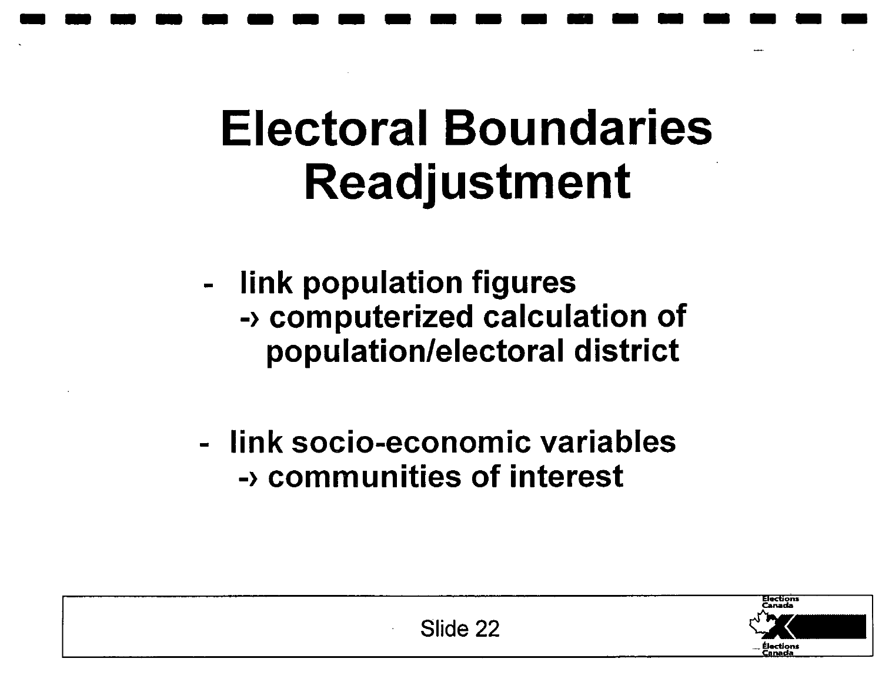## **Electoral Boundaries Readjustment**

**-------------------**

- link population figures -) computerized calculation of population/electoral district

- link socio-economic variables -) communities of interest

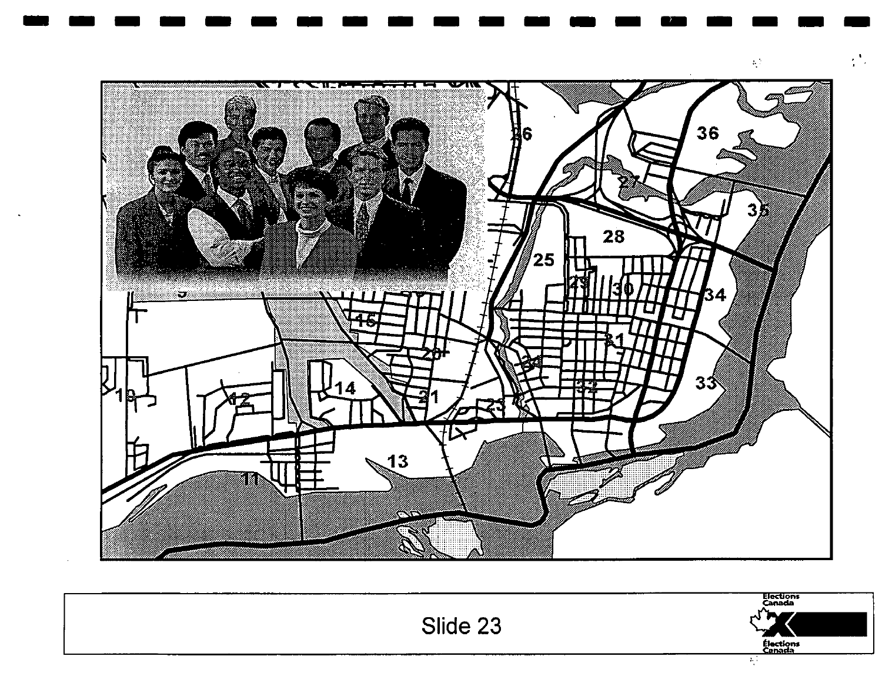

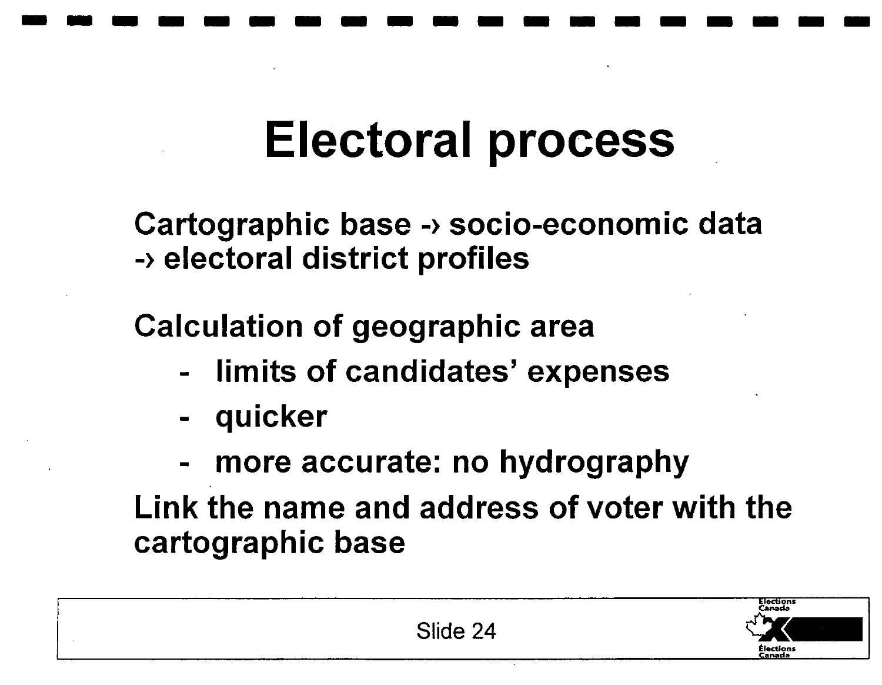# **-------------------**

## **Electoral process**

Cartographic base -) socio-economic data -) electoral district profiles

Calculation of geographic area

- limits of candidates' expenses
- quicker
- more accurate: no hydrography

Link the name and address of voter with the cartographic base

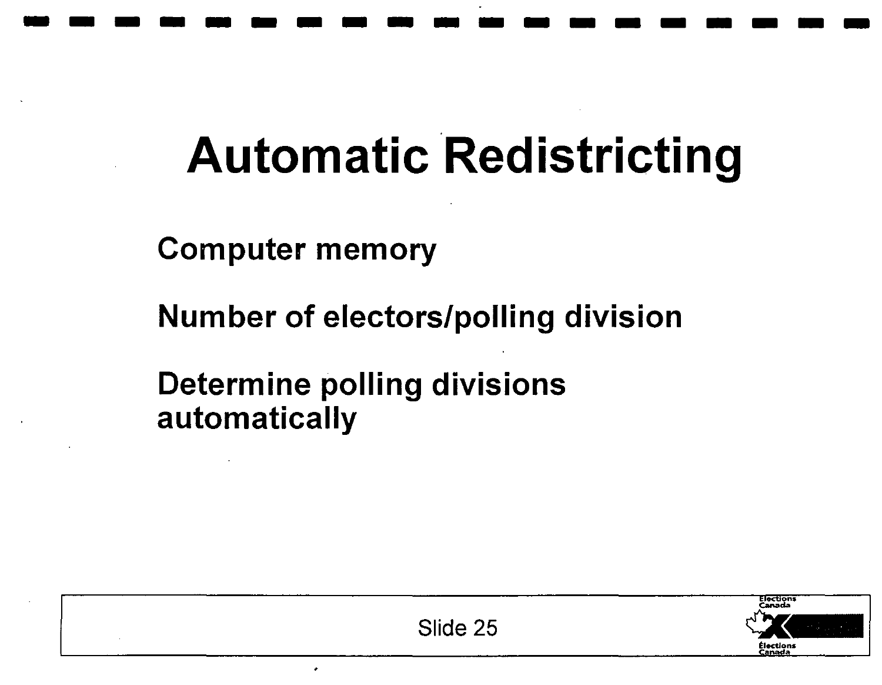## **Automatic Redistricting**

**-------------------**

Computer memory

Number of electors/polling division

Determine polling divisions automatically

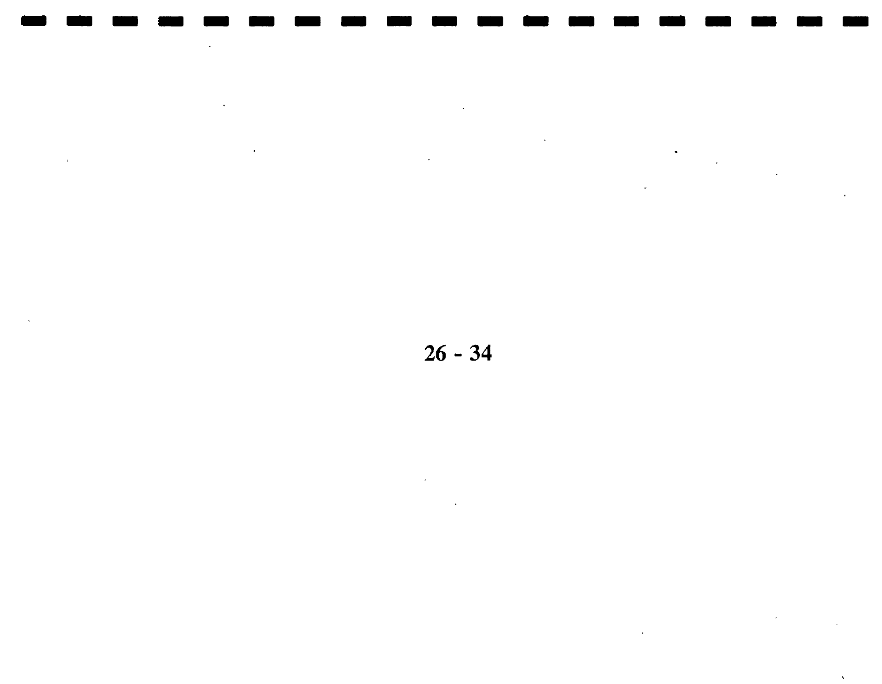$26 - 34$ 

 $\langle \cdot \rangle$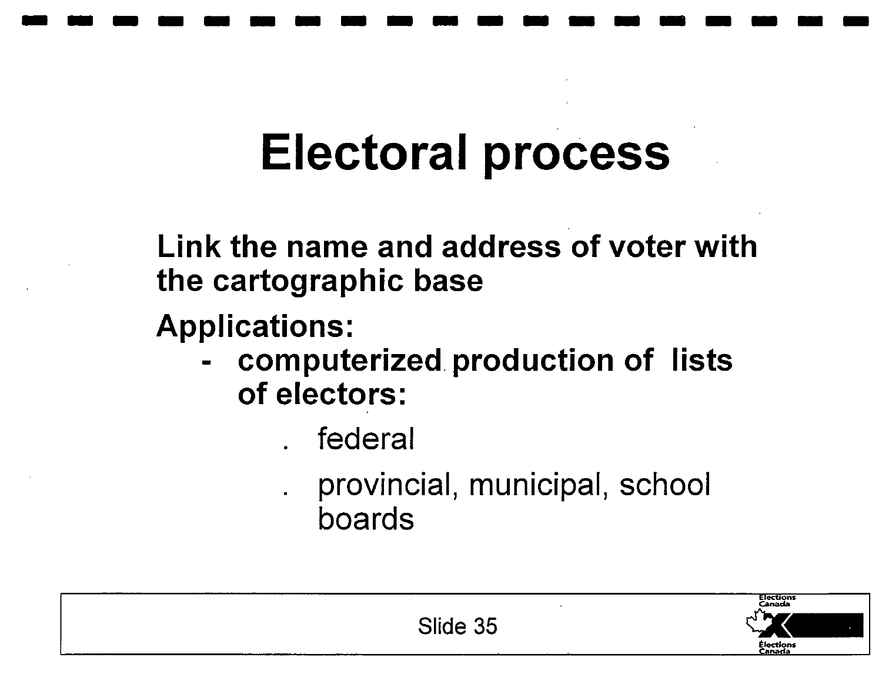## **Electoral process**

**-------------------**

**Link the name and address of voter with the cartographic base** 

**Applications:** 

**- computerized production of lists of electors:** 

. federal

provincial, municipal, school boards

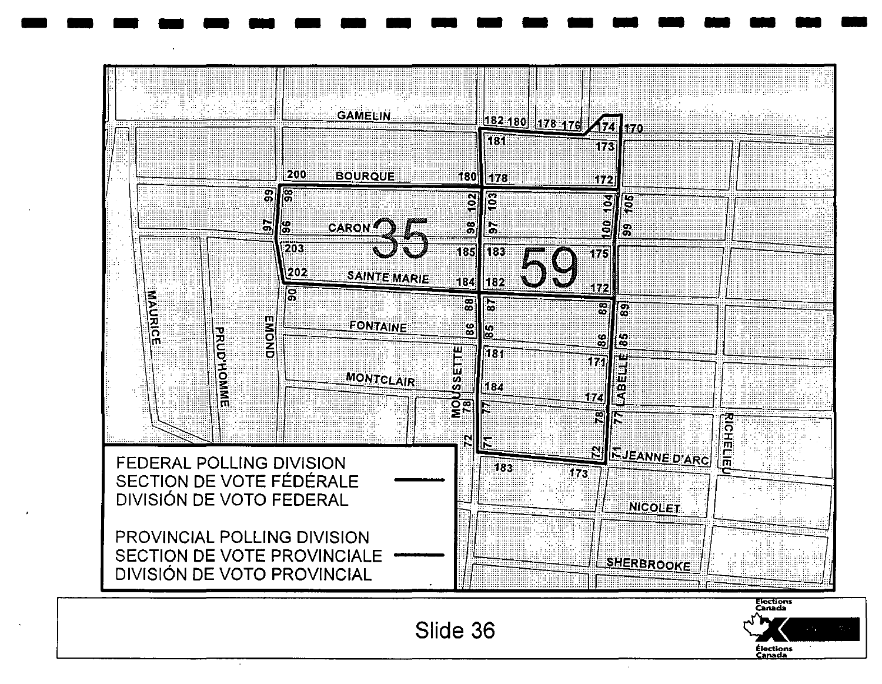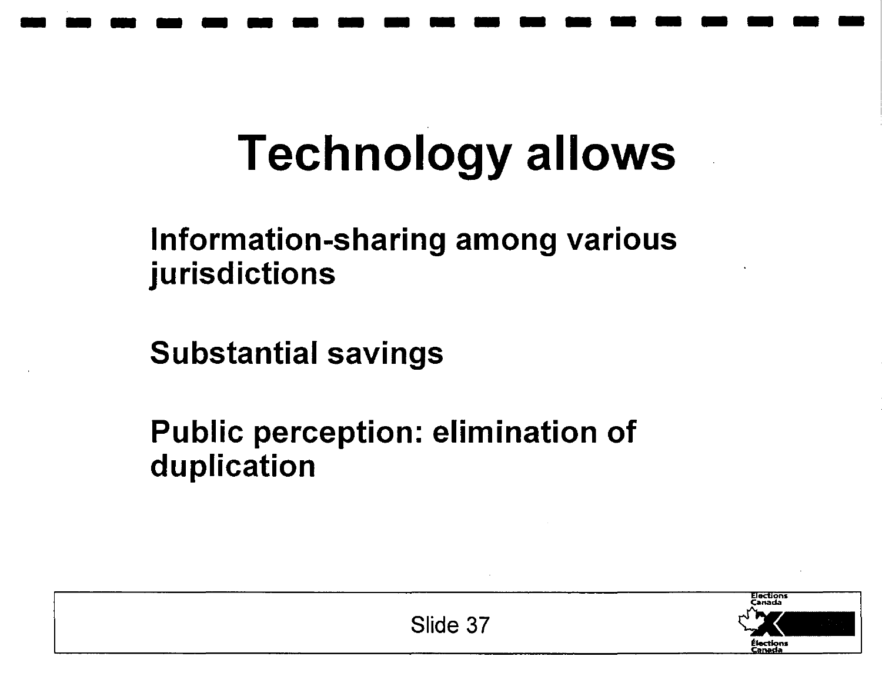## **Technology allows**

**-------------------**

#### Information-sharing among various jurisdictions

Substantial savings

Public perception: elimination of duplication



Slide 37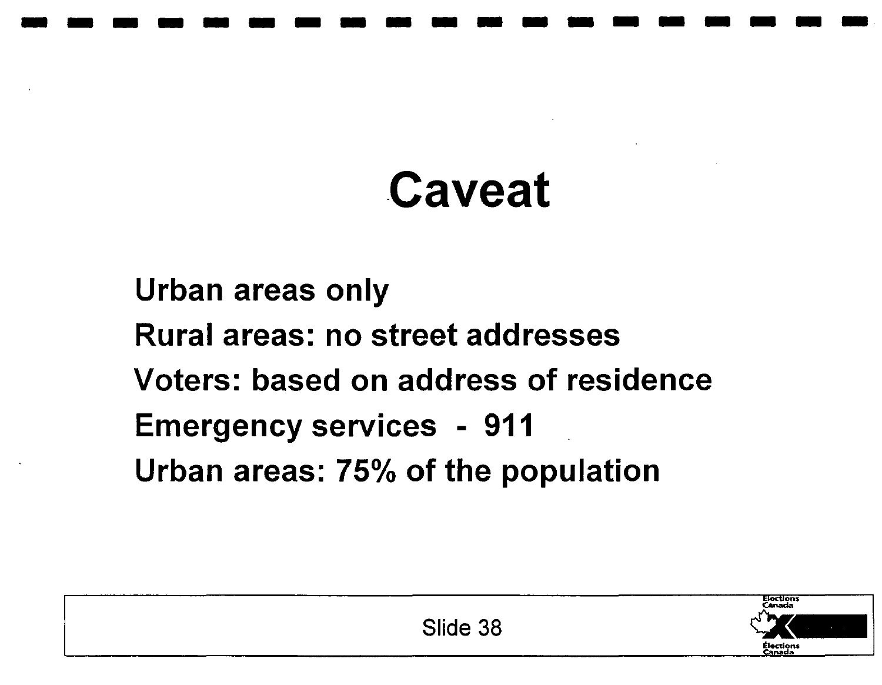## -Caveat

- - - - - - - - - - - - - - - - - - -.

Urban areas only Rural areas: no street addresses Voters: based on address of residence Emergency services - 911 Urban areas: 75% of the population

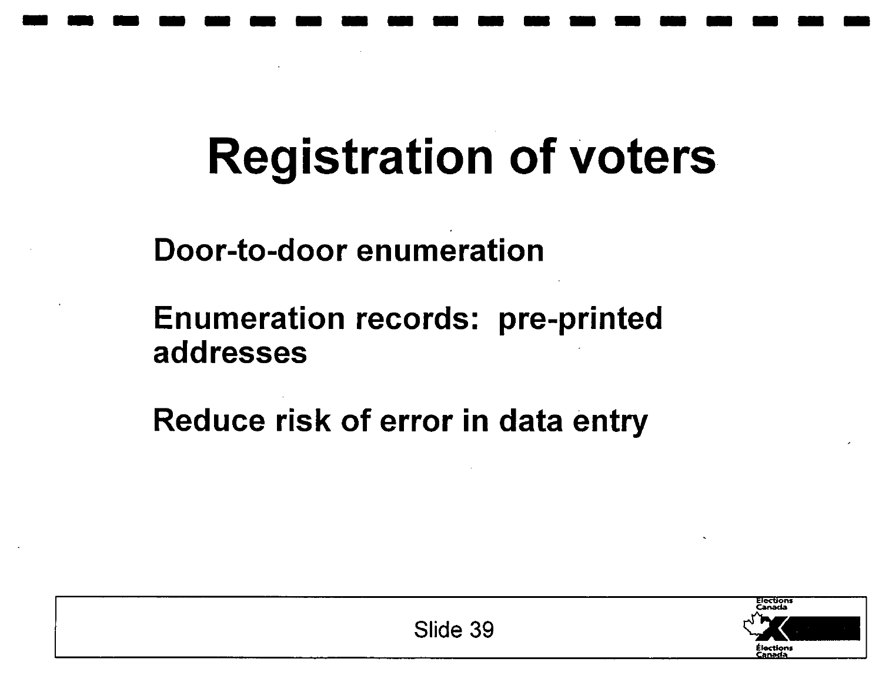## **Registration of voters**

**-------------------**

Door-to-door enumeration

Enumeration records: pre-printed addresses

Reduce risk of error in data entry

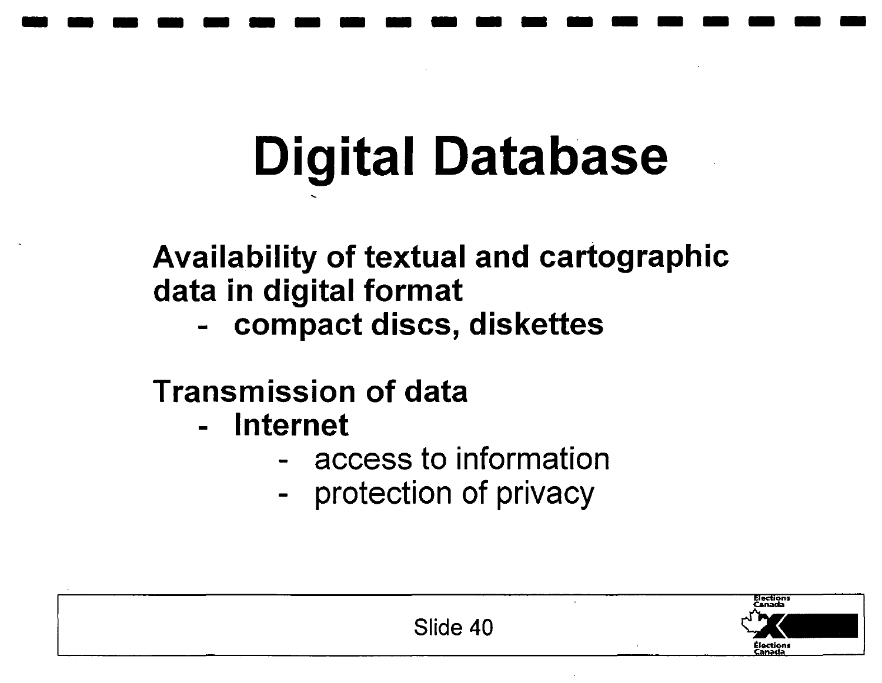# **Digital Database**

**-------------------**

Availability of textual and cartographic data in digital format

- compact discs, diskettes

#### Transmission of data

- Internet
	- access to information
	- protection of privacy